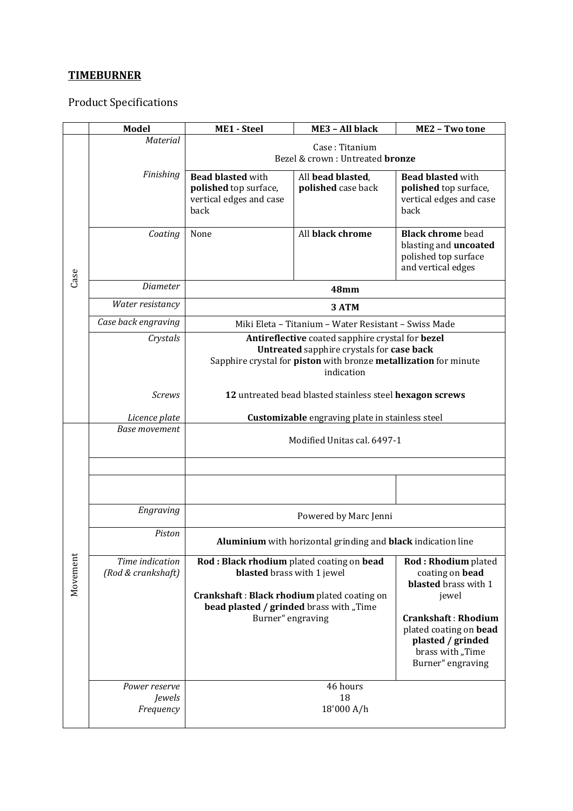## **TIMEBURNER**

Product Specifications

|          | <b>Model</b>                                | <b>ME1 - Steel</b>                                                                                                                                                              | ME3 - All black                         | ME2 - Two tone                                                                                                              |  |  |
|----------|---------------------------------------------|---------------------------------------------------------------------------------------------------------------------------------------------------------------------------------|-----------------------------------------|-----------------------------------------------------------------------------------------------------------------------------|--|--|
| Case     | <b>Material</b>                             | Case: Titanium<br>Bezel & crown: Untreated <b>bronze</b>                                                                                                                        |                                         |                                                                                                                             |  |  |
|          | Finishing                                   | <b>Bead blasted with</b><br>polished top surface,<br>vertical edges and case<br>back                                                                                            | All bead blasted,<br>polished case back | <b>Bead blasted with</b><br>polished top surface,<br>vertical edges and case<br>back                                        |  |  |
|          | Coating                                     | None                                                                                                                                                                            | All black chrome                        | <b>Black chrome</b> bead<br>blasting and <b>uncoated</b><br>polished top surface<br>and vertical edges                      |  |  |
|          | Diameter                                    | <b>48mm</b>                                                                                                                                                                     |                                         |                                                                                                                             |  |  |
|          | Water resistancy                            | 3 ATM                                                                                                                                                                           |                                         |                                                                                                                             |  |  |
|          | Case back engraving                         | Miki Eleta - Titanium - Water Resistant - Swiss Made                                                                                                                            |                                         |                                                                                                                             |  |  |
|          | Crystals                                    | Antireflective coated sapphire crystal for bezel<br>Untreated sapphire crystals for case back<br>Sapphire crystal for piston with bronze metallization for minute<br>indication |                                         |                                                                                                                             |  |  |
|          | <b>Screws</b>                               | 12 untreated bead blasted stainless steel hexagon screws                                                                                                                        |                                         |                                                                                                                             |  |  |
|          | Licence plate                               | Customizable engraving plate in stainless steel                                                                                                                                 |                                         |                                                                                                                             |  |  |
|          | <b>Base movement</b>                        | Modified Unitas cal. 6497-1                                                                                                                                                     |                                         |                                                                                                                             |  |  |
|          |                                             |                                                                                                                                                                                 |                                         |                                                                                                                             |  |  |
|          |                                             |                                                                                                                                                                                 |                                         |                                                                                                                             |  |  |
|          | Engraving                                   | Powered by Marc Jenni                                                                                                                                                           |                                         |                                                                                                                             |  |  |
| Movement | Piston                                      | Aluminium with horizontal grinding and black indication line                                                                                                                    |                                         |                                                                                                                             |  |  |
|          | Time indication<br>(Rod & crankshaft)       | Rod: Black rhodium plated coating on bead<br>blasted brass with 1 jewel                                                                                                         |                                         | Rod: Rhodium plated<br>coating on bead<br>blasted brass with 1                                                              |  |  |
|          |                                             | Crankshaft: Black rhodium plated coating on<br>bead plasted / grinded brass with "Time<br>Burner" engraving                                                                     |                                         | jewel<br><b>Crankshaft: Rhodium</b><br>plated coating on bead<br>plasted / grinded<br>brass with "Time<br>Burner" engraving |  |  |
|          | Power reserve<br><i>Jewels</i><br>Frequency |                                                                                                                                                                                 | 46 hours<br>18<br>18'000 A/h            |                                                                                                                             |  |  |